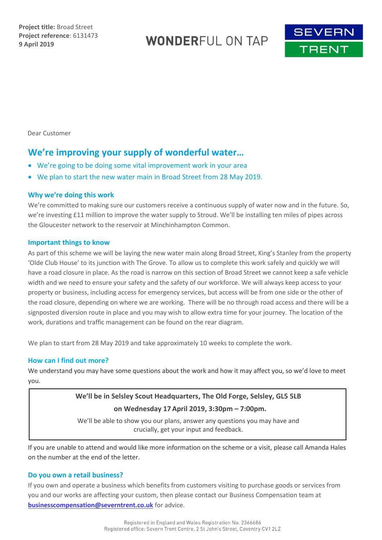**WONDERFUL ON TAP** 



Dear Customer

# **We're improving your supply of wonderful water…**

- We're going to be doing some vital improvement work in your area
- We plan to start the new water main in Broad Street from 28 May 2019.

### **Why we're doing this work**

We're committed to making sure our customers receive a continuous supply of water now and in the future. So, we're investing £11 million to improve the water supply to Stroud. We'll be installing ten miles of pipes across the Gloucester network to the reservoir at Minchinhampton Common.

### **Important things to know**

As part of this scheme we will be laying the new water main along Broad Street, King's Stanley from the property 'Olde Club House' to its junction with The Grove. To allow us to complete this work safely and quickly we will have a road closure in place. As the road is narrow on this section of Broad Street we cannot keep a safe vehicle width and we need to ensure your safety and the safety of our workforce. We will always keep access to your property or business, including access for emergency services, but access will be from one side or the other of the road closure, depending on where we are working. There will be no through road access and there will be a signposted diversion route in place and you may wish to allow extra time for your journey. The location of the work, durations and traffic management can be found on the rear diagram.

We plan to start from 28 May 2019 and take approximately 10 weeks to complete the work.

### **How can I find out more?**

We understand you may have some questions about the work and how it may affect you, so we'd love to meet you.

## **We'll be in Selsley Scout Headquarters, The Old Forge, Selsley, GL5 5LB on Wednesday 17 April 2019, 3:30pm – 7:00pm.**

We'll be able to show you our plans, answer any questions you may have and crucially, get your input and feedback.

If you are unable to attend and would like more information on the scheme or a visit, please call Amanda Hales on the number at the end of the letter.

### **Do you own a retail business?**

If you own and operate a business which benefits from customers visiting to purchase goods or services from you and our works are affecting your custom, then please contact our Business Compensation team at **[businesscompensation@severntrent.co.uk](mailto:businesscompensation@severntrent.co.uk)** for advice.